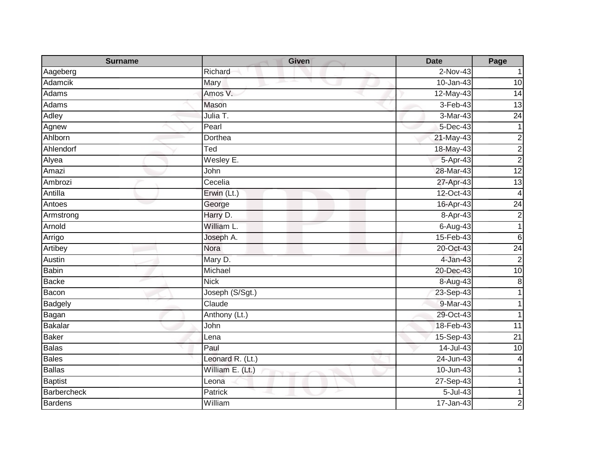| <b>Surname</b> | <b>Given</b>     | <b>Date</b>   | Page            |
|----------------|------------------|---------------|-----------------|
| Aageberg       | Richard          | $2-Nov-43$    |                 |
| <b>Adamcik</b> | Mary             | $10 - Jan-43$ | 10              |
| Adams          | Amos V.          | 12-May-43     | $\overline{14}$ |
| Adams          | Mason            | $3-Feb-43$    | 13              |
| Adley          | Julia T.         | 3-Mar-43      | 24              |
| Agnew          | Pearl            | 5-Dec-43      | $\mathbf{1}$    |
| Ahlborn        | Dorthea          | $21$ -May-43  | $\overline{c}$  |
| Ahlendorf      | Ted              | 18-May-43     | $\overline{c}$  |
| Alyea          | Wesley E.        | 5-Apr-43      | $\overline{2}$  |
| Amazi          | John             | 28-Mar-43     | 12              |
| Ambrozi        | Cecelia          | 27-Apr-43     | 13              |
| Antilla        | Erwin (Lt.)      | 12-Oct-43     | $\overline{4}$  |
| Antoes         | George           | 16-Apr-43     | $\overline{24}$ |
| Armstrong      | Harry D.         | 8-Apr-43      | $\overline{c}$  |
| Arnold         | William L.       | 6-Aug-43      | 1               |
| Arrigo         | Joseph A.        | 15-Feb-43     | $\,6$           |
| Artibey        | Nora             | 20-Oct-43     | $\overline{24}$ |
| Austin         | Mary D.          | 4-Jan-43      | $\overline{2}$  |
| <b>Babin</b>   | Michael          | 20-Dec-43     | 10              |
| <b>Backe</b>   | <b>Nick</b>      | 8-Aug-43      | $\bf 8$         |
| Bacon          | Joseph (S/Sgt.)  | 23-Sep-43     |                 |
| Badgely        | Claude           | $9-Mar-43$    |                 |
| Bagan          | Anthony (Lt.)    | 29-Oct-43     | 1               |
| <b>Bakalar</b> | John             | 18-Feb-43     | 11              |
| <b>Baker</b>   | Lena             | 15-Sep-43     | $\overline{21}$ |
| <b>Balas</b>   | Paul             | 14-Jul-43     | 10              |
| <b>Bales</b>   | Leonard R. (Lt.) | 24-Jun-43     | 4               |
| <b>Ballas</b>  | William E. (Lt.) | $10 - Jun-43$ |                 |
| <b>Baptist</b> | Leona            | 27-Sep-43     |                 |
| Barbercheck    | Patrick          | 5-Jul-43      |                 |
| <b>Bardens</b> | William          | 17-Jan-43     | 2               |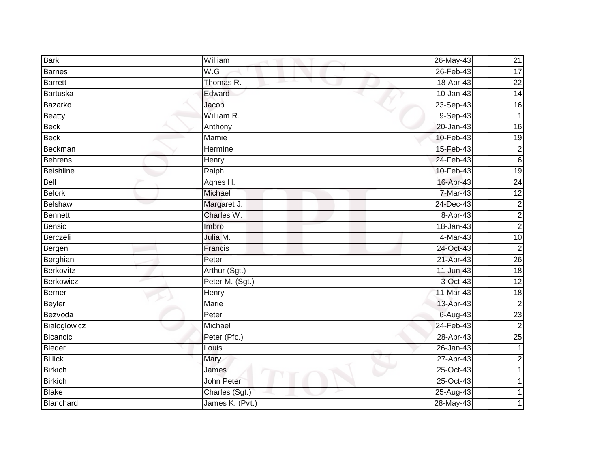| <b>Bark</b>      | William         | 26-May-43     | 21              |
|------------------|-----------------|---------------|-----------------|
| <b>Barnes</b>    | W.G.            | 26-Feb-43     | $\overline{17}$ |
| <b>Barrett</b>   | Thomas R.       | 18-Apr-43     | $\overline{22}$ |
| <b>Bartuska</b>  | Edward          | 10-Jan-43     | $\overline{14}$ |
| Bazarko          | Jacob           | 23-Sep-43     | 16              |
| <b>Beatty</b>    | William R.      | 9-Sep-43      | $\mathbf{1}$    |
| <b>Beck</b>      | Anthony         | 20-Jan-43     | $\overline{16}$ |
| <b>Beck</b>      | Mamie           | 10-Feb-43     | 19              |
| Beckman          | Hermine         | 15-Feb-43     | $\overline{c}$  |
| <b>Behrens</b>   | <b>Henry</b>    | 24-Feb-43     | $6\phantom{1}$  |
| <b>Beishline</b> | Ralph           | 10-Feb-43     | $\overline{19}$ |
| Bell             | Agnes H.        | 16-Apr-43     | 24              |
| <b>Belork</b>    | Michael         | 7-Mar-43      | $\overline{12}$ |
| Belshaw          | Margaret J.     | 24-Dec-43     | $\overline{c}$  |
| Bennett          | Charles W.      | 8-Apr-43      | $\overline{c}$  |
| <b>Bensic</b>    | Imbro           | 18-Jan-43     | $\overline{2}$  |
| Berczeli         | Julia M.        | 4-Mar-43      | 10              |
| Bergen           | Francis         | 24-Oct-43     | $\overline{c}$  |
| Berghian         | Peter           | 21-Apr-43     | 26              |
| Berkovitz        | Arthur (Sgt.)   | 11-Jun-43     | 18              |
| Berkowicz        | Peter M. (Sgt.) | 3-Oct-43      | 12              |
| Berner           | Henry           | 11-Mar-43     | $\frac{1}{8}$   |
| <b>Beyler</b>    | <b>Marie</b>    | 13-Apr-43     | $\overline{2}$  |
| Bezvoda          | Peter           | 6-Aug-43      | $\overline{23}$ |
| Bialoglowicz     | Michael         | 24-Feb-43     | $\overline{2}$  |
| Bicancic         | Peter (Pfc.)    | $28 - Apr-43$ | $\overline{25}$ |
| <b>Bieder</b>    | Louis           | $26 - Jan-43$ |                 |
| <b>Billick</b>   | Mary            | 27-Apr-43     | $\overline{2}$  |
| <b>Birkich</b>   | James           | 25-Oct-43     |                 |
| <b>Birkich</b>   | John Peter      | 25-Oct-43     |                 |
| <b>Blake</b>     | Charles (Sgt.)  | 25-Aug-43     |                 |
| Blanchard        | James K. (Pvt.) | 28-May-43     |                 |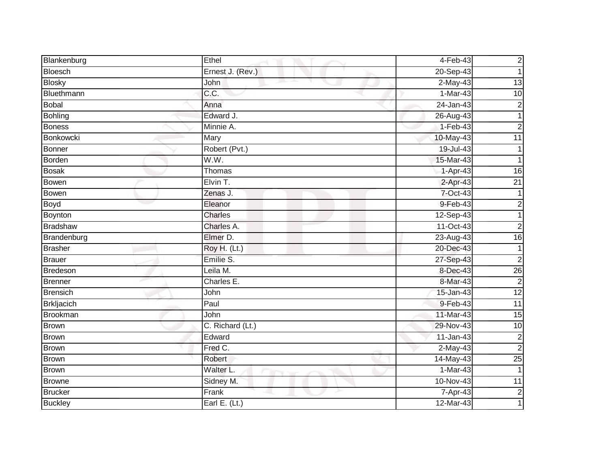| Blankenburg       | Ethel            | 4-Feb-43      | $\overline{c}$  |
|-------------------|------------------|---------------|-----------------|
| Bloesch           | Ernest J. (Rev.) | 20-Sep-43     |                 |
| <b>Blosky</b>     | John             | $2-May-43$    | 13              |
| Bluethmann        | C.C.             | 1-Mar-43      | 10              |
| <b>Bobal</b>      | Anna             | $24$ -Jan-43  | $\overline{c}$  |
| <b>Bohling</b>    | Edward J.        | 26-Aug-43     | 1               |
| <b>Boness</b>     | Minnie A.        | $1-Feb-43$    | $\overline{2}$  |
| Bonkowcki         | Mary             | 10-May-43     | 11              |
| <b>Bonner</b>     | Robert (Pvt.)    | 19-Jul-43     |                 |
| <b>Borden</b>     | W.W.             | 15-Mar-43     |                 |
| <b>Bosak</b>      | Thomas           | 1-Apr-43      | $\overline{16}$ |
| Bowen             | Elvin T.         | $2-Apr-43$    | $\overline{21}$ |
| Bowen             | Zenas J.         | 7-Oct-43      |                 |
| <b>Boyd</b>       | Eleanor          | 9-Feb-43      | 2               |
| <b>Boynton</b>    | <b>Charles</b>   | 12-Sep-43     |                 |
| <b>Bradshaw</b>   | Charles A.       | 11-Oct-43     | $\overline{2}$  |
| Brandenburg       | Elmer D.         | 23-Aug-43     | $\overline{16}$ |
| <b>Brasher</b>    | Roy H. (Lt.)     | 20-Dec-43     |                 |
| <b>Brauer</b>     | Emilie S.        | 27-Sep-43     | $\overline{2}$  |
| Bredeson          | Leila M.         | 8-Dec-43      | 26              |
| Brenner           | Charles E.       | 8-Mar-43      | $\overline{c}$  |
| <b>Brensich</b>   | John             | $15 - Jan-43$ | $\overline{12}$ |
| <b>Brkljacich</b> | Paul             | 9-Feb-43      | $\overline{11}$ |
| <b>Brookman</b>   | John             | 11-Mar-43     | 15              |
| <b>Brown</b>      | C. Richard (Lt.) | 29-Nov-43     | 10              |
| <b>Brown</b>      | Edward           | $11-Jan-43$   | $\overline{2}$  |
| <b>Brown</b>      | Fred C.          | $2$ -May-43   | $\overline{c}$  |
| Brown             | Robert           | 14-May-43     | 25              |
| <b>Brown</b>      | Walter L.        | $1-Mar-43$    | $\mathbf 1$     |
| <b>Browne</b>     | Sidney M.        | 10-Nov-43     | 11              |
| <b>Brucker</b>    | Frank            | 7-Apr-43      | $\overline{c}$  |
| <b>Buckley</b>    | Earl E. $(Lt.)$  | 12-Mar-43     |                 |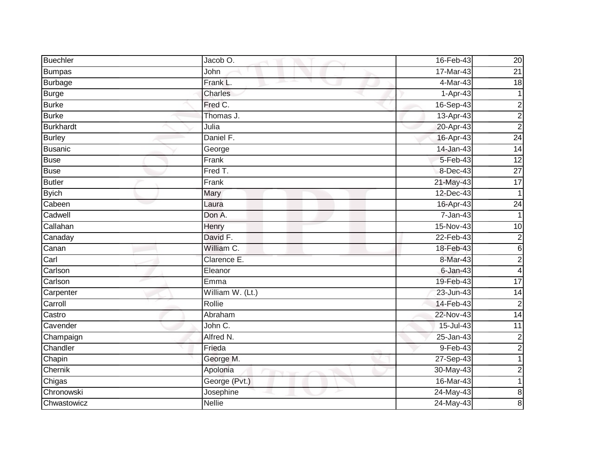| <b>Buechler</b>  | Jacob O.         | 16-Feb-43      | 20              |
|------------------|------------------|----------------|-----------------|
| <b>Bumpas</b>    | John             | 17-Mar-43      | $\overline{21}$ |
| <b>Burbage</b>   | Frank L.         | 4-Mar-43       | $\overline{18}$ |
| <b>Burge</b>     | Charles          | 1-Apr-43       |                 |
| <b>Burke</b>     | Fred C.          | 16-Sep-43      | $\overline{c}$  |
| <b>Burke</b>     | Thomas J.        | 13-Apr-43      | $\overline{c}$  |
| <b>Burkhardt</b> | Julia            | 20-Apr-43      | $\overline{2}$  |
| <b>Burley</b>    | Daniel F.        | 16-Apr-43      | $\overline{24}$ |
| <b>Busanic</b>   | George           | 14-Jan-43      | 14              |
| <b>Buse</b>      | Frank            | $5 - Feb - 43$ | 12              |
| <b>Buse</b>      | Fred T.          | 8-Dec-43       | $\overline{27}$ |
| <b>Butler</b>    | Frank            | 21-May-43      | $\overline{17}$ |
| <b>Byich</b>     | Mary             | 12-Dec-43      |                 |
| Cabeen           | Laura            | 16-Apr-43      | 24              |
| Cadwell          | Don A.           | $7 - Jan-43$   |                 |
| Callahan         | Henry            | 15-Nov-43      | 10              |
| Canaday          | David F.         | $22$ -Feb-43   | $\overline{c}$  |
| Canan            | William C.       | 18-Feb-43      | 6               |
| Carl             | Clarence E.      | 8-Mar-43       | $\overline{c}$  |
| Carlson          | Eleanor          | $6 - Jan-43$   | 4               |
| Carlson          | Emma             | 19-Feb-43      | 17              |
| Carpenter        | William W. (Lt.) | 23-Jun-43      | $\overline{14}$ |
| Carroll          | Rollie           | 14-Feb-43      | $\overline{c}$  |
| Castro           | Abraham          | 22-Nov-43      | 14              |
| Cavender         | John C.          | 15-Jul-43      | 11              |
| Champaign        | Alfred N.        | $25 - Jan-43$  | $\overline{2}$  |
| Chandler         | Frieda           | 9-Feb-43       | $\overline{c}$  |
| Chapin           | George M.        | 27-Sep-43      |                 |
| Chernik          | Apolonia         | 30-May-43      | 2               |
| Chigas           | George (Pvt.)    | 16-Mar-43      | 1               |
| Chronowski       | Josephine        | 24-May-43      | $\bf 8$         |
| Chwastowicz      | <b>Nellie</b>    | 24-May-43      | 8               |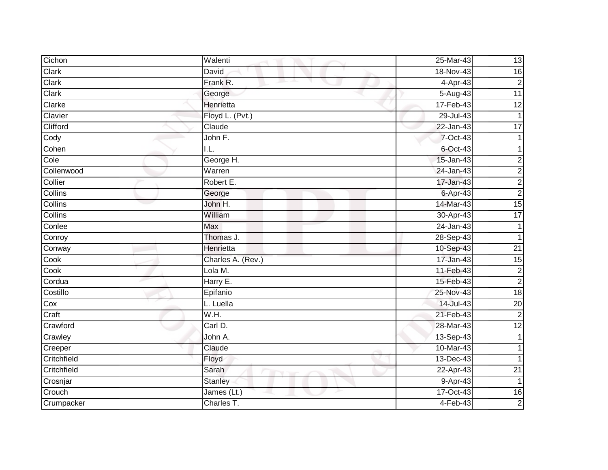| Cichon      | Walenti           | 25-Mar-43     | 13                      |
|-------------|-------------------|---------------|-------------------------|
| Clark       | David             | 18-Nov-43     | 16                      |
| Clark       | Frank R.          | 4-Apr-43      | $\overline{c}$          |
| Clark       | George            | 5-Aug-43      | $\overline{11}$         |
| Clarke      | Henrietta         | 17-Feb-43     | 12                      |
| Clavier     | Floyd L. (Pvt.)   | $29 -$ Jul-43 |                         |
| Clifford    | Claude            | 22-Jan-43     | $\overline{17}$         |
| Cody        | John F.           | 7-Oct-43      |                         |
| Cohen       | I.L.              | $6$ -Oct-43   |                         |
| Cole        | George H.         | 15-Jan-43     | 2                       |
| Collenwood  | Warren            | 24-Jan-43     | $\overline{c}$          |
| Collier     | Robert E.         | 17-Jan-43     | $\overline{\mathbf{c}}$ |
| Collins     | George            | 6-Apr-43      | $\overline{2}$          |
| Collins     | John H.           | 14-Mar-43     | $\overline{15}$         |
| Collins     | William           | 30-Apr-43     | $\overline{17}$         |
| Conlee      | Max               | 24-Jan-43     |                         |
| Conroy      | Thomas J.         | 28-Sep-43     |                         |
| Conway      | Henrietta         | 10-Sep-43     | $\overline{21}$         |
| Cook        | Charles A. (Rev.) | 17-Jan-43     | $\overline{15}$         |
| Cook        | Lola M.           | 11-Feb-43     | $\overline{2}$          |
| Cordua      | Harry E.          | 15-Feb-43     | $\overline{c}$          |
| Costillo    | Epifanio          | 25-Nov-43     | 18                      |
| Cox         | L. Luella         | 14-Jul-43     | $\overline{20}$         |
| Craft       | W.H.              | 21-Feb-43     | $\overline{c}$          |
| Crawford    | Carl D.           | 28-Mar-43     | $\overline{12}$         |
| Crawley     | John A.           | 13-Sep-43     |                         |
| Creeper     | Claude            | $10-Mar-43$   |                         |
| Critchfield | Floyd             | 13-Dec-43     |                         |
| Critchfield | Sarah             | 22-Apr-43     | $\overline{21}$         |
| Crosnjar    | <b>Stanley</b>    | 9-Apr-43      | 1                       |
| Crouch      | James (Lt.)       | 17-Oct-43     | $\overline{16}$         |
| Crumpacker  | Charles T.        | $4-Feb-43$    | $\overline{2}$          |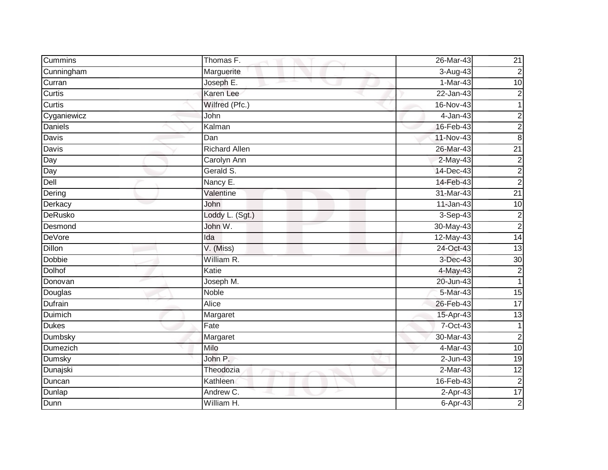| Cummins          | Thomas F.            | 26-Mar-43    | 21              |
|------------------|----------------------|--------------|-----------------|
| Cunningham       | Marguerite           | 3-Aug-43     | $\overline{c}$  |
| Curran           | Joseph E.            | $1-Mar-43$   | $\overline{10}$ |
| Curtis           | Karen Lee            | $22$ -Jan-43 | $\overline{c}$  |
| Curtis           | Wilfred (Pfc.)       | 16-Nov-43    |                 |
| Cyganiewicz      | John                 | 4-Jan-43     | $\overline{c}$  |
| Daniels          | Kalman               | 16-Feb-43    | $\overline{2}$  |
| <b>Davis</b>     | Dan                  | 11-Nov-43    | $\bf 8$         |
| Davis            | <b>Richard Allen</b> | 26-Mar-43    | $\overline{21}$ |
| $\overline{Day}$ | <b>Carolyn Ann</b>   | 2-May-43     | $\overline{c}$  |
| Day              | Gerald S.            | 14-Dec-43    | $\overline{c}$  |
| Dell             | Nancy E.             | 14-Feb-43    | $\overline{a}$  |
| Dering           | Valentine            | 31-Mar-43    | $\overline{21}$ |
| Derkacy          | John                 | $11$ -Jan-43 | $\overline{10}$ |
| <b>DeRusko</b>   | Loddy L. (Sgt.)      | $3-Sep-43$   | $\overline{c}$  |
| Desmond          | John W.              | 30-May-43    | $\overline{2}$  |
| <b>DeVore</b>    | Ida                  | 12-May-43    | 14              |
| Dillon           | V. (Miss)            | 24-Oct-43    | 13              |
| Dobbie           | William R.           | 3-Dec-43     | 30              |
| <b>Dolhof</b>    | Katie                | 4-May-43     | $\overline{c}$  |
| Donovan          | Joseph M.            | 20-Jun-43    | 1               |
| Douglas          | <b>Noble</b>         | 5-Mar-43     | 15              |
| Dufrain          | Alice                | 26-Feb-43    | $\overline{17}$ |
| Duimich          | Margaret             | 15-Apr-43    | 13              |
| <b>Dukes</b>     | Fate                 | 7-Oct-43     | $\mathbf{1}$    |
| Dumbsky          | Margaret             | 30-Mar-43    | $\overline{2}$  |
| <b>Dumezich</b>  | Milo                 | 4-Mar-43     | 10              |
| Dumsky           | John P.              | $2$ -Jun-43  | $\overline{19}$ |
| Dunajski         | Theodozia            | $2-Mar-43$   | $\overline{12}$ |
| Duncan           | Kathleen             | 16-Feb-43    | $\overline{c}$  |
| Dunlap           | Andrew C.            | $2-Apr-43$   | $\overline{17}$ |
| Dunn             | William H.           | 6-Apr-43     | $\overline{2}$  |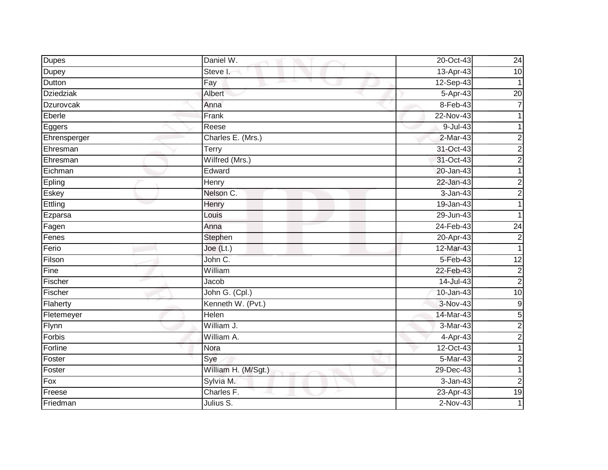| <b>Dupes</b>     | Daniel W.           | 20-Oct-43  | 24               |
|------------------|---------------------|------------|------------------|
| <b>Dupey</b>     | Steve I.            | 13-Apr-43  | 10               |
| Dutton           | Fay                 | 12-Sep-43  |                  |
| <b>Dziedziak</b> | Albert              | 5-Apr-43   | $\overline{20}$  |
| Dzurovcak        | Anna                | $8-Feb-43$ | 7                |
| Eberle           | Frank               | 22-Nov-43  |                  |
| Eggers           | Reese               | 9-Jul-43   |                  |
| Ehrensperger     | Charles E. (Mrs.)   | $2-Mar-43$ | 2                |
| Ehresman         | Terry               | 31-Oct-43  | $\overline{2}$   |
| Ehresman         | Wilfred (Mrs.)      | 31-Oct-43  | $\overline{a}$   |
| Eichman          | Edward              | 20-Jan-43  |                  |
| Epling           | Henry               | 22-Jan-43  | 2                |
| Eskey            | Nelson C.           | 3-Jan-43   | $\overline{2}$   |
| Ettling          | Henry               | 19-Jan-43  |                  |
| Ezparsa          | Louis               | 29-Jun-43  |                  |
| Fagen            | Anna                | 24-Feb-43  | 24               |
| Fenes            | Stephen             | 20-Apr-43  | $\overline{2}$   |
| Ferio            | Joe (Lt.)           | 12-Mar-43  | 1                |
| Filson           | John C.             | 5-Feb-43   | 12               |
| Fine             | William             | 22-Feb-43  | $\overline{c}$   |
| Fischer          | Jacob               | 14-Jul-43  | $\overline{c}$   |
| Fischer          | John G. (Cpl.)      | 10-Jan-43  | 10               |
| Flaherty         | Kenneth W. (Pvt.)   | 3-Nov-43   | $\boldsymbol{9}$ |
| Fletemeyer       | <b>Helen</b>        | 14-Mar-43  | 5                |
| Flynn            | William J.          | 3-Mar-43   | $\overline{c}$   |
| Forbis           | William A.          | 4-Apr-43   | $\overline{a}$   |
| Forline          | Nora                | 12-Oct-43  |                  |
| Foster           | Sye                 | 5-Mar-43   | $\overline{2}$   |
| Foster           | William H. (M/Sgt.) | 29-Dec-43  |                  |
| Fox              | Sylvia M.           | 3-Jan-43   | $\overline{2}$   |
| Freese           | Charles F.          | 23-Apr-43  | 19               |
| Friedman         | Julius S.           | $2-Nov-43$ |                  |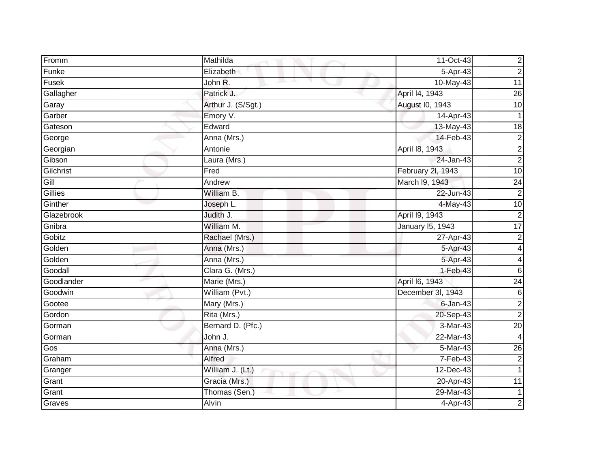| Fromm      | Mathilda           | 11-Oct-43         | $\overline{\mathbf{c}}$ |
|------------|--------------------|-------------------|-------------------------|
| Funke      | Elizabeth          | 5-Apr-43          | $\overline{2}$          |
| Fusek      | John R.            | 10-May-43         | 11                      |
| Gallagher  | Patrick J.         | April 14, 1943    | $\overline{26}$         |
| Garay      | Arthur J. (S/Sgt.) | August I0, 1943   | 10                      |
| Garber     | Emory V.           | 14-Apr-43         |                         |
| Gateson    | Edward             | 13-May-43         | 18                      |
| George     | Anna (Mrs.)        | 14-Feb-43         | $\overline{2}$          |
| Georgian   | Antonie            | April 18, 1943    | $\overline{2}$          |
| Gibson     | Laura (Mrs.)       | 24-Jan-43         | $\overline{2}$          |
| Gilchrist  | Fred               | February 2l, 1943 | 10                      |
| Gill       | Andrew             | March 19, 1943    | $\overline{24}$         |
| Gillies    | William B.         | 22-Jun-43         | $\overline{c}$          |
| Ginther    | Joseph L.          | 4-May-43          | 10                      |
| Glazebrook | Judith J.          | April 19, 1943    | $\overline{2}$          |
| Gnibra     | William M.         | January 15, 1943  | 17                      |
| Gobitz     | Rachael (Mrs.)     | 27-Apr-43         | $\overline{2}$          |
| Golden     | Anna (Mrs.)        | 5-Apr-43          | 4                       |
| Golden     | Anna (Mrs.)        | 5-Apr-43          | 4                       |
| Goodall    | Clara G. (Mrs.)    | $1-Feb-43$        | $\overline{6}$          |
| Goodlander | Marie (Mrs.)       | April 16, 1943    | $\overline{24}$         |
| Goodwin    | William (Pvt.)     | December 3I, 1943 | $\overline{6}$          |
| Gootee     | Mary (Mrs.)        | $6$ -Jan-43       | $\overline{2}$          |
| Gordon     | Rita (Mrs.)        | 20-Sep-43         | $\overline{2}$          |
| Gorman     | Bernard D. (Pfc.)  | 3-Mar-43          | $\overline{20}$         |
| Gorman     | John J.            | 22-Mar-43         | 4                       |
| Gos        | Anna (Mrs.)        | 5-Mar-43          | 26                      |
| Graham     | Alfred             | $7-Feb-43$        | $\overline{2}$          |
| Granger    | William J. (Lt.)   | 12-Dec-43         | $\mathbf{1}$            |
| Grant      | Gracia (Mrs.)      | 20-Apr-43         | 11                      |
| Grant      | Thomas (Sen.)      | 29-Mar-43         | $\mathbf{1}$            |
| Graves     | Alvin              | 4-Apr-43          | $\overline{2}$          |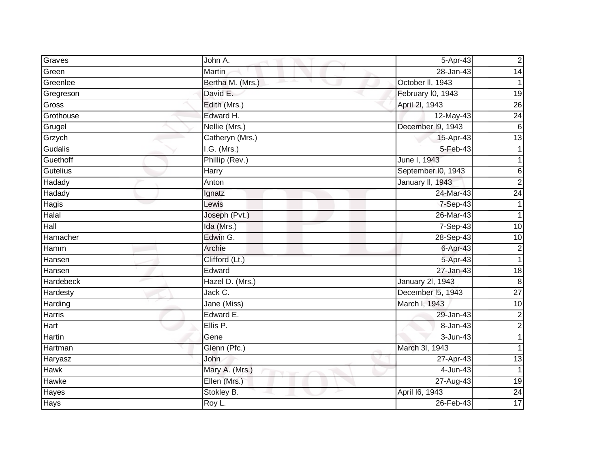| Graves        | John A.          | $5$ -Apr-43             | $\overline{2}$          |
|---------------|------------------|-------------------------|-------------------------|
| Green         | Martin           | 28-Jan-43               | $\overline{14}$         |
| Greenlee      | Bertha M. (Mrs.) | October II, 1943        |                         |
| Gregreson     | David E.         | February I0, 1943       | 19                      |
| Gross         | Edith (Mrs.)     | April 2I, 1943          | $\overline{26}$         |
| Grothouse     | Edward H.        | 12-May-43               | $\overline{24}$         |
| Grugel        | Nellie (Mrs.)    | December I9, 1943       | $\overline{6}$          |
| Grzych        | Catheryn (Mrs.)  | 15-Apr-43               | $\overline{13}$         |
| Gudalis       | $I.G.$ (Mrs.)    | 5-Feb-43                |                         |
| Guethoff      | Phillip (Rev.)   | June I, 1943            |                         |
| Gutelius      | <b>Harry</b>     | September I0, 1943      | 6                       |
| Hadady        | Anton            | January II, 1943        | $\overline{2}$          |
| Hadady        | Ignatz           | 24-Mar-43               | 24                      |
| Hagis         | Lewis            | 7-Sep-43                | 1                       |
| Halal         | Joseph (Pvt.)    | 26-Mar-43               | 1                       |
| Hall          | Ida (Mrs.)       | 7-Sep-43                | 10                      |
| Hamacher      | Edwin G.         | 28-Sep-43               | 10                      |
| Hamm          | Archie           | 6-Apr-43                | $\overline{\mathbf{c}}$ |
| Hansen        | Clifford (Lt.)   | 5-Apr-43                | $\overline{1}$          |
| Hansen        | Edward           | 27-Jan-43               | $\overline{18}$         |
| Hardebeck     | Hazel D. (Mrs.)  | <b>January 2l, 1943</b> | 8                       |
| Hardesty      | Jack C.          | December 15, 1943       | $\overline{27}$         |
| Harding       | Jane (Miss)      | March I, 1943           | 10                      |
| <b>Harris</b> | Edward E.        | 29-Jan-43               | $\boldsymbol{2}$        |
| Hart          | Ellis P.         | 8-Jan-43                | $\overline{2}$          |
| Hartin        | Gene             | 3-Jun-43                |                         |
| Hartman       | Glenn (Pfc.)     | March 3I, 1943          |                         |
| Haryasz       | John             | 27-Apr-43               | 13                      |
| <b>Hawk</b>   | Mary A. (Mrs.)   | $4$ -Jun-43             |                         |
| Hawke         | Ellen (Mrs.)     | 27-Aug-43               | 19                      |
| Hayes         | Stokley B.       | April 16, 1943          | $\overline{24}$         |
| <b>Hays</b>   | Roy L.           | 26-Feb-43               | $\overline{17}$         |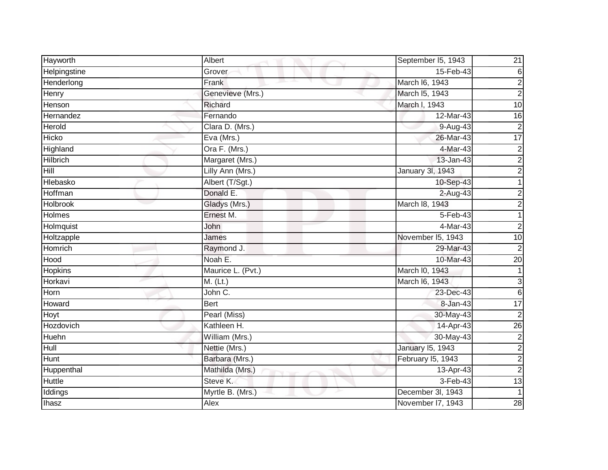| Hayworth        | Albert            | September I5, 1943      | 21                      |
|-----------------|-------------------|-------------------------|-------------------------|
| Helpingstine    | Grover            | 15-Feb-43               | 6                       |
| Henderlong      | Frank             | March I6, 1943          | 2                       |
| Henry           | Genevieve (Mrs.)  | March I5, 1943          | $\overline{2}$          |
| Henson          | Richard           | March I, 1943           | 10                      |
| Hernandez       | Fernando          | 12-Mar-43               | 16                      |
| Herold          | Clara D. (Mrs.)   | 9-Aug-43                | $\overline{2}$          |
| Hicko           | Eva (Mrs.)        | 26-Mar-43               | $\overline{17}$         |
| Highland        | Ora F. (Mrs.)     | 4-Mar-43                | $\overline{c}$          |
| <b>Hilbrich</b> | Margaret (Mrs.)   | 13-Jan-43               | $\overline{2}$          |
| Hill            | Lilly Ann (Mrs.)  | January 3l, 1943        | $\overline{c}$          |
| Hlebasko        | Albert (T/Sgt.)   | 10-Sep-43               | 1                       |
| Hoffman         | Donald E.         | 2-Aug-43                | $\overline{\mathbf{c}}$ |
| <b>Holbrook</b> | Gladys (Mrs.)     | March 18, 1943          | $\overline{\mathbf{c}}$ |
| <b>Holmes</b>   | Ernest M.         | $5-Feb-43$              |                         |
| Holmquist       | John              | 4-Mar-43                | $\overline{2}$          |
| Holtzapple      | James             | November I5, 1943       | 10                      |
| Homrich         | Raymond J.        | 29-Mar-43               | $\overline{2}$          |
| Hood            | Noah E.           | 10-Mar-43               | $\overline{20}$         |
| <b>Hopkins</b>  | Maurice L. (Pvt.) | March I0, 1943          |                         |
| Horkavi         | M. (Lt.)          | March I6, 1943          | 3                       |
| Horn            | John C.           | 23-Dec-43               | 6                       |
| Howard          | Bert              | 8-Jan-43                | 17                      |
| Hoyt            | Pearl (Miss)      | 30-May-43               | $\overline{2}$          |
| Hozdovich       | Kathleen H.       | 14-Apr-43               | 26                      |
| Huehn           | William (Mrs.)    | 30-May-43               | $\boldsymbol{2}$        |
| Hull            | Nettie (Mrs.)     | <b>January 15, 1943</b> | $\overline{c}$          |
| Hunt            | Barbara (Mrs.)    | February I5, 1943       | $\overline{2}$          |
| Huppenthal      | Mathilda (Mrs.)   | 13-Apr-43               | $\mathbf 2$             |
| Huttle          | Steve K.          | 3-Feb-43                | 13                      |
| Iddings         | Myrtle B. (Mrs.)  | December 3l, 1943       |                         |
| <b>Ihasz</b>    | Alex              | November I7, 1943       | $\overline{28}$         |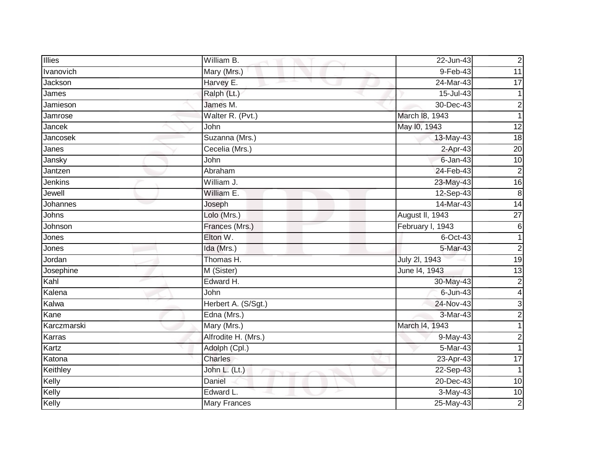| <b>Illies</b>   | William B.          | 22-Jun-43        | $\mathbf 2$     |
|-----------------|---------------------|------------------|-----------------|
| Ivanovich       | Mary (Mrs.)         | 9-Feb-43         | $\overline{11}$ |
| Jackson         | Harvey E.           | 24-Mar-43        | 17              |
| James           | Ralph (Lt.)         | 15-Jul-43        |                 |
| Jamieson        | James M.            | 30-Dec-43        | 2               |
| Jamrose         | Walter R. (Pvt.)    | March 18, 1943   | 1               |
| Jancek          | John                | May 10, 1943     | $\overline{12}$ |
| <b>Jancosek</b> | Suzanna (Mrs.)      | 13-May-43        | $\frac{1}{8}$   |
| Janes           | Cecelia (Mrs.)      | 2-Apr-43         | $\overline{20}$ |
| Jansky          | John                | $6$ -Jan-43      | 10              |
| Jantzen         | Abraham             | 24-Feb-43        | $\overline{c}$  |
| <b>Jenkins</b>  | William J.          | 23-May-43        | $\overline{16}$ |
| Jewell          | William E.          | 12-Sep-43        | $\overline{8}$  |
| Johannes        | Joseph              | 14-Mar-43        | $\overline{14}$ |
| Johns           | Lolo (Mrs.)         | August II, 1943  | $\overline{27}$ |
| Johnson         | Frances (Mrs.)      | February I, 1943 | 6               |
| Jones           | Elton W.            | $6$ -Oct-43      |                 |
| Jones           | Ida (Mrs.)          | 5-Mar-43         | 2               |
| Jordan          | Thomas H.           | July 2I, 1943    | 19              |
| Josephine       | M (Sister)          | June 14, 1943    | $\overline{13}$ |
| Kahl            | Edward H.           | 30-May-43        | 2               |
| Kalena          | John                | $6$ -Jun-43      | 4               |
| Kalwa           | Herbert A. (S/Sgt.) | 24-Nov-43        | 3               |
| Kane            | Edna (Mrs.)         | 3-Mar-43         | $\overline{2}$  |
| Karczmarski     | Mary (Mrs.)         | March I4, 1943   |                 |
| Karras          | Alfrodite H. (Mrs.) | 9-May-43         | $\overline{2}$  |
| Kartz           | Adolph (Cpl.)       | 5-Mar-43         |                 |
| Katona          | <b>Charles</b>      | 23-Apr-43        | $\overline{17}$ |
| Keithley        | John L. (Lt.)       | $22-Sep-43$      |                 |
| Kelly           | Daniel              | 20-Dec-43        | 10              |
| Kelly           | Edward L.           | $3-May-43$       | 10              |
| Kelly           | <b>Mary Frances</b> | 25-May-43        | $\mathbf 2$     |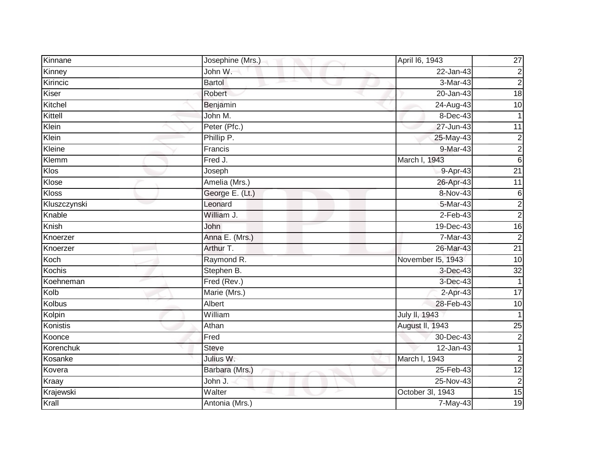| Kinnane      | Josephine (Mrs.)    | April 16, 1943       | $\overline{27}$ |
|--------------|---------------------|----------------------|-----------------|
| Kinney       | John W.             | 22-Jan-43            | $\overline{c}$  |
| Kirincic     | <b>Bartol</b><br>m. | 3-Mar-43             | $\overline{c}$  |
| Kiser        | Robert              | 20-Jan-43            | $\overline{18}$ |
| Kitchel      | Benjamin            | 24-Aug-43            | 10              |
| Kittell      | John M.             | 8-Dec-43             | 1               |
| Klein        | Peter (Pfc.)        | 27-Jun-43            | 11              |
| Klein        | Phillip P.          | $25-May-43$          | $\overline{c}$  |
| Kleine       | Francis             | 9-Mar-43             | $\overline{c}$  |
| Klemm        | Fred J.             | March I, 1943        | $\sigma$        |
| Klos         | Joseph              | 9-Apr-43             | $\overline{21}$ |
| Klose        | Amelia (Mrs.)       | 26-Apr-43            | $\overline{11}$ |
| Kloss        | George E. (Lt.)     | 8-Nov-43             | $\,6$           |
| Kluszczynski | Leonard             | $5-Mar-43$           | $\overline{c}$  |
| Knable       | William J.          | $2-Feb-43$           | $\overline{c}$  |
| Knish        | John                | 19-Dec-43            | $\overline{16}$ |
| Knoerzer     | Anna E. (Mrs.)      | 7-Mar-43             | $\overline{2}$  |
| Knoerzer     | Arthur T.           | 26-Mar-43            | $\overline{21}$ |
| Koch         | Raymond R.          | November I5, 1943    | $\overline{10}$ |
| Kochis       | Stephen B.          | 3-Dec-43             | $\overline{32}$ |
| Koehneman    | Fred (Rev.)         | 3-Dec-43             | 1               |
| Kolb         | Marie (Mrs.)        | 2-Apr-43             | 17              |
| Kolbus       | Albert              | 28-Feb-43            | $\overline{10}$ |
| Kolpin       | William             | <b>July II, 1943</b> | 1               |
| Konistis     | Athan               | August II, 1943      | $\overline{25}$ |
| Koonce       | Fred                | 30-Dec-43            | $\overline{2}$  |
| Korenchuk    | <b>Steve</b>        | $12$ -Jan-43         | 1               |
| Kosanke      | Julius W.           | March I, 1943        | $\overline{2}$  |
| Kovera       | Barbara (Mrs.)      | 25-Feb-43            | 12              |
| Kraay        | John J.             | $25-Nov-43$          | $\overline{c}$  |
| Krajewski    | Walter              | October 3l, 1943     | 15              |
| Krall        | Antonia (Mrs.)      | $7-May-43$           | 19              |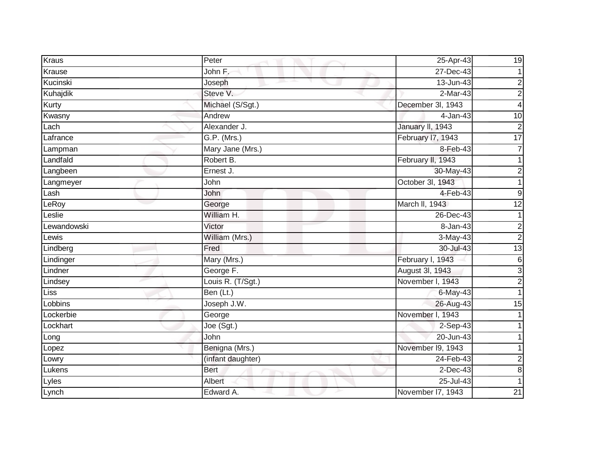| Kraus       | Peter             | 25-Apr-43         | $\overline{19}$         |
|-------------|-------------------|-------------------|-------------------------|
| Krause      | John F.           | 27-Dec-43         |                         |
| Kucinski    | Joseph            | $13 - Jun-43$     | $\overline{c}$          |
| Kuhajdik    | Steve V.          | $2-Mar-43$        | $\overline{2}$          |
| Kurty       | Michael (S/Sgt.)  | December 3l, 1943 | 4                       |
| Kwasny      | Andrew            | 4-Jan-43          | 10                      |
| Lach        | Alexander J.      | January II, 1943  | $\overline{c}$          |
| Lafrance    | G.P. (Mrs.)       | February 17, 1943 | 17                      |
| Lampman     | Mary Jane (Mrs.)  | 8-Feb-43          | $\overline{7}$          |
| Landfald    | Robert B.         | February II, 1943 |                         |
| Langbeen    | Ernest J.         | 30-May-43         | $\overline{c}$          |
| Langmeyer   | John              | October 3l, 1943  |                         |
| Lash        | John              | 4-Feb-43          | 9                       |
| LeRoy       | George            | March II, 1943    | $\overline{12}$         |
| Leslie      | William H.        | 26-Dec-43         |                         |
| Lewandowski | Victor            | 8-Jan-43          | $\overline{2}$          |
| Lewis       | William (Mrs.)    | $3-May-43$        | $\overline{2}$          |
| Lindberg    | Fred              | 30-Jul-43         | $\overline{13}$         |
| Lindinger   | Mary (Mrs.)       | February I, 1943  | 6                       |
| Lindner     | George F.         | August 3I, 1943   | $\overline{3}$          |
| Lindsey     | Louis R. (T/Sgt.) | November I, 1943  | $\overline{2}$          |
| <b>Liss</b> | Ben (Lt.)         | 6-May-43          |                         |
| Lobbins     | Joseph J.W.       | 26-Aug-43         | $\overline{15}$         |
| Lockerbie   | George            | November I, 1943  |                         |
| Lockhart    | Joe (Sgt.)        | 2-Sep-43          |                         |
| Long        | John              | 20-Jun-43         |                         |
| Lopez       | Benigna (Mrs.)    | November 19, 1943 |                         |
| Lowry       | (infant daughter) | 24-Feb-43         | $\overline{\mathbf{c}}$ |
| Lukens      | <b>Bert</b>       | $2$ -Dec-43       | 8                       |
| Lyles       | Albert            | 25-Jul-43         |                         |
| Lynch       | Edward A.         | November I7, 1943 | $\overline{21}$         |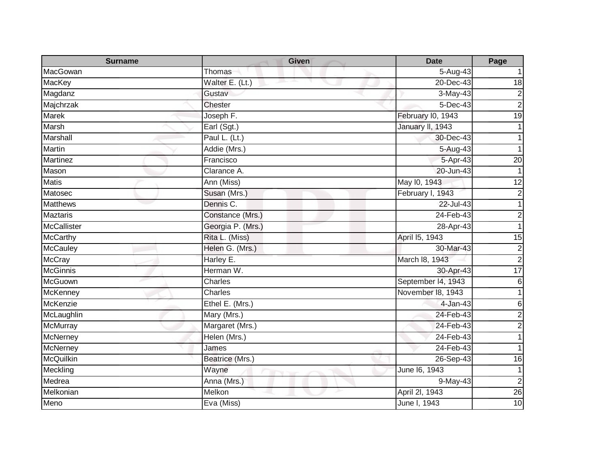| <b>Surname</b>   | <b>Given</b>      | <b>Date</b>        | Page            |
|------------------|-------------------|--------------------|-----------------|
| MacGowan         | Thomas            | 5-Aug-43           |                 |
| <b>MacKey</b>    | Walter E. (Lt.)   | 20-Dec-43          | 18              |
| Magdanz          | Gustav            | $3-May-43$         | $\overline{2}$  |
| Majchrzak        | <b>Chester</b>    | 5-Dec-43           | $\overline{2}$  |
| <b>Marek</b>     | Joseph F.         | February I0, 1943  | 19              |
| Marsh            | Earl (Sgt.)       | January II, 1943   |                 |
| Marshall         | Paul L. (Lt.)     | 30-Dec-43          |                 |
| <b>Martin</b>    | Addie (Mrs.)      | 5-Aug-43           |                 |
| <b>Martinez</b>  | Francisco         | 5-Apr-43           | $\overline{20}$ |
| Mason            | Clarance A.       | 20-Jun-43          |                 |
| <b>Matis</b>     | Ann (Miss)        | May 10, 1943       | 12              |
| Matosec          | Susan (Mrs.)      | February I, 1943   | $\overline{2}$  |
| <b>Matthews</b>  | Dennis C.         | 22-Jul-43          |                 |
| <b>Maztaris</b>  | Constance (Mrs.)  | $24$ -Feb-43       | $\overline{c}$  |
| McCallister      | Georgia P. (Mrs.) | 28-Apr-43          |                 |
| <b>McCarthy</b>  | Rita L. (Miss)    | April 15, 1943     | 15              |
| McCauley         | Helen G. (Mrs.)   | 30-Mar-43          | $\overline{c}$  |
| <b>McCray</b>    | Harley E.         | March 18, 1943     | $\overline{2}$  |
| <b>McGinnis</b>  | Herman W.         | 30-Apr-43          | 17              |
| McGuown          | Charles           | September I4, 1943 | 6               |
| <b>McKenney</b>  | Charles           | November 18, 1943  |                 |
| McKenzie         | Ethel E. (Mrs.)   | 4-Jan-43           | 6               |
| McLaughlin       | Mary (Mrs.)       | 24-Feb-43          | $\overline{2}$  |
| McMurray         | Margaret (Mrs.)   | 24-Feb-43          | $\overline{2}$  |
| <b>McNerney</b>  | Helen (Mrs.)      | 24-Feb-43          |                 |
| <b>McNerney</b>  | James             | 24-Feb-43          |                 |
| <b>McQuilkin</b> | Beatrice (Mrs.)   | 26-Sep-43          | 16              |
| Meckling         | Wayne             | June 16, 1943      |                 |
| Medrea           | Anna (Mrs.)       | 9-May-43           | $\overline{2}$  |
| Melkonian        | Melkon            | April 2I, 1943     | $\overline{26}$ |
| Meno             | Eva (Miss)        | June I, 1943       | $\overline{10}$ |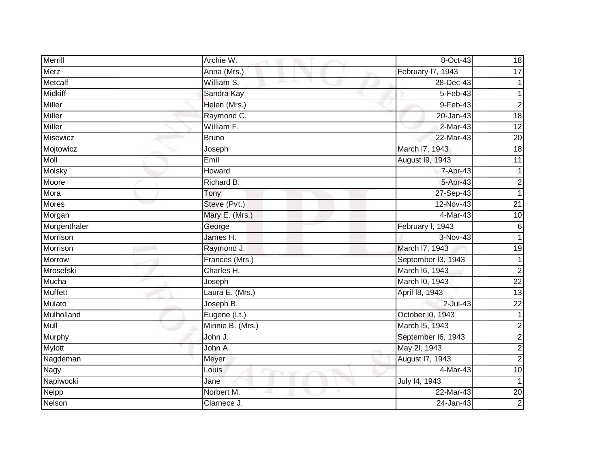| Merrill        | Archie W.        | 8-Oct-43           | 18              |
|----------------|------------------|--------------------|-----------------|
| Merz           | Anna (Mrs.)      | February I7, 1943  | 17              |
| Metcalf        | William S.       | 28-Dec-43          |                 |
| <b>Midkiff</b> | Sandra Kay       | 5-Feb-43           |                 |
| Miller         | Helen (Mrs.)     | $9-Feb-43$         | $\overline{2}$  |
| Miller         | Raymond C.       | 20-Jan-43          | 18              |
| Miller         | William F.       | 2-Mar-43           | $\overline{12}$ |
| Misewicz       | <b>Bruno</b>     | 22-Mar-43          | $\overline{20}$ |
| Mojtowicz      | Joseph           | March I7, 1943     | 18              |
| <b>Moll</b>    | Emil             | August 19, 1943    | $\overline{11}$ |
| Molsky         | Howard           | 7-Apr-43           |                 |
| Moore          | Richard B.       | 5-Apr-43           | $\overline{2}$  |
| Mora           | Tony             | 27-Sep-43          |                 |
| <b>Mores</b>   | Steve (Pvt.)     | 12-Nov-43          | $\overline{21}$ |
| Morgan         | Mary E. (Mrs.)   | 4-Mar-43           | 10              |
| Morgenthaler   | George           | February I, 1943   | 6               |
| Morrison       | James H.         | 3-Nov-43           |                 |
| Morrison       | Raymond J.       | March I7, 1943     | 19              |
| Morrow         | Frances (Mrs.)   | September I3, 1943 | 1               |
| Mrosefski      | Charles H.       | March I6, 1943     | $\overline{2}$  |
| Mucha          | Joseph           | March I0, 1943     | $\overline{22}$ |
| <b>Muffett</b> | Laura E. (Mrs.)  | April 18, 1943     | $\overline{3}$  |
| Mulato         | Joseph B.        | $2$ -Jul-43        | 22              |
| Mulholland     | Eugene (Lt.)     | October I0, 1943   |                 |
| Mull           | Minnie B. (Mrs.) | March I5, 1943     | $\overline{c}$  |
| Murphy         | John J.          | September I6, 1943 | $\overline{c}$  |
| <b>Mylott</b>  | John A.          | May 2l, 1943       | $\overline{c}$  |
| Nagdeman       | Meyer            | August 17, 1943    | $\overline{2}$  |
| Nagy           | Louis            | 4-Mar-43           | 10              |
| Napiwocki      | Jane             | July 14, 1943      |                 |
| Neipp          | Norbert M.       | 22-Mar-43          | 20              |
| Nelson         | Clarnece J.      | 24-Jan-43          | $\overline{2}$  |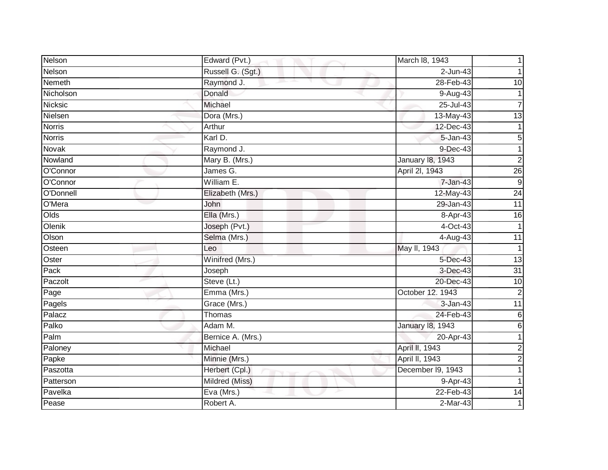| Nelson        | Edward (Pvt.)     | March 18, 1943          |                 |
|---------------|-------------------|-------------------------|-----------------|
| Nelson        | Russell G. (Sgt.) | $2$ -Jun-43             |                 |
| Nemeth        | Raymond J.        | 28-Feb-43               | 10              |
| Nicholson     | Donald            | 9-Aug-43                |                 |
| Nicksic       | Michael           | $25 -$ Jul-43           | 7               |
| Nielsen       | Dora (Mrs.)       | $13-May-43$             | 13              |
| <b>Norris</b> | Arthur            | 12-Dec-43               |                 |
| <b>Norris</b> | Karl D.           | 5-Jan-43                | 5               |
| Novak         | Raymond J.        | 9-Dec-43                | 1               |
| Nowland       | Mary B. (Mrs.)    | <b>January 18, 1943</b> | $\overline{2}$  |
| O'Connor      | James G.          | April 2I, 1943          | $\overline{26}$ |
| O'Connor      | William E.        | $7 - Jan-43$            | 9               |
| O'Donnell     | Elizabeth (Mrs.)  | 12-May-43               | $\overline{24}$ |
| O'Mera        | John              | 29-Jan-43               | $\overline{11}$ |
| Olds          | Ella (Mrs.)       | 8-Apr-43                | $\overline{6}$  |
| Olenik        | Joseph (Pvt.)     | $4$ -Oct-43             | 1               |
| Olson         | Selma (Mrs.)      | 4-Aug-43                | 11              |
| Osteen        | Leo               | May II, 1943            | 1               |
| Oster         | Winifred (Mrs.)   | 5-Dec-43                | $\overline{13}$ |
| Pack          | Joseph            | 3-Dec-43                | 31              |
| Paczolt       | Steve (Lt.)       | 20-Dec-43               | 10              |
| Page          | Emma (Mrs.)       | October 12. 1943        | $\overline{2}$  |
| Pagels        | Grace (Mrs.)      | 3-Jan-43                | 11              |
| Palacz        | Thomas            | 24-Feb-43               | $\,6$           |
| Palko         | Adam M.           | <b>January 18, 1943</b> | $\,6$           |
| Palm          | Bernice A. (Mrs.) | 20-Apr-43               |                 |
| Paloney       | Michael           | April II, 1943          | $\overline{2}$  |
| Papke         | Minnie (Mrs.)     | April II, 1943          | $\overline{2}$  |
| Paszotta      | Herbert (Cpl.)    | December I9, 1943       |                 |
| Patterson     | Mildred (Miss)    | 9-Apr-43                |                 |
| Pavelka       | Eva (Mrs.)        | 22-Feb-43               | 14              |
| Pease         | Robert A.         | $2-Mar-43$              |                 |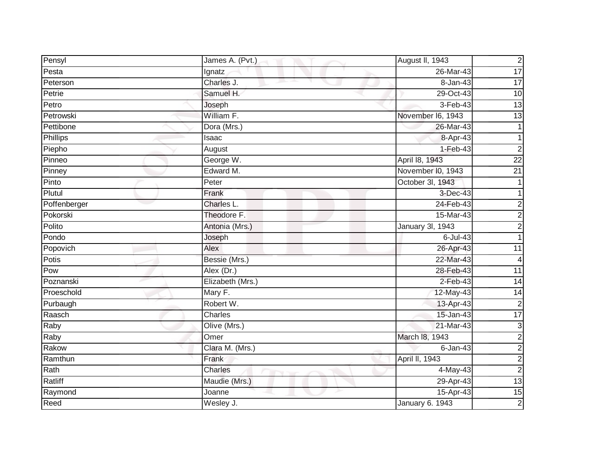| Pensyl          | James A. (Pvt.)  | August II, 1943   | $\overline{c}$          |
|-----------------|------------------|-------------------|-------------------------|
| Pesta           | Ignatz           | 26-Mar-43         | $\overline{17}$         |
| Peterson        | Charles J.       | 8-Jan-43          | $\overline{17}$         |
| Petrie          | Samuel H.        | 29-Oct-43         | 10                      |
| Petro           | Joseph           | $3-Feb-43$        | $\overline{3}$          |
| Petrowski       | William F.       | November I6, 1943 | 13                      |
| Pettibone       | Dora (Mrs.)      | 26-Mar-43         | 1                       |
| <b>Phillips</b> | Isaac            | 8-Apr-43          |                         |
| Piepho          | August           | $1-Feb-43$        | 2                       |
| Pinneo          | George W.        | April 18, 1943    | $\overline{22}$         |
| Pinney          | Edward M.        | November I0, 1943 | $\overline{21}$         |
| Pinto           | Peter            | October 3I, 1943  |                         |
| Plutul          | Frank            | 3-Dec-43          |                         |
| Poffenberger    | Charles L.       | 24-Feb-43         | 2                       |
| Pokorski        | Theodore F.      | 15-Mar-43         | 2                       |
| Polito          | Antonia (Mrs.)   | January 3I, 1943  | $\mathbf 2$             |
| Pondo           | Joseph           | $6$ -Jul-43       | 1                       |
| Popovich        | Alex             | 26-Apr-43         | 11                      |
| Potis           | Bessie (Mrs.)    | 22-Mar-43         | 4                       |
| Pow             | Alex (Dr.)       | 28-Feb-43         | $\overline{11}$         |
| Poznanski       | Elizabeth (Mrs.) | $2$ -Feb-43       | $\overline{14}$         |
| Proeschold      | Mary F.          | 12-May-43         | 14                      |
| Purbaugh        | Robert W.        | 13-Apr-43         | $\overline{2}$          |
| Raasch          | Charles          | 15-Jan-43         | $\overline{17}$         |
| Raby            | Olive (Mrs.)     | 21-Mar-43         | 3                       |
| Raby            | Omer             | March 18, 1943    | $\mathbf 2$             |
| Rakow           | Clara M. (Mrs.)  | $6$ -Jan-43       | $\overline{\mathbf{c}}$ |
| Ramthun         | Frank            | April II, 1943    | $\overline{c}$          |
| Rath            | Charles          | 4-May-43          | $\mathbf 2$             |
| Ratliff         | Maudie (Mrs.)    | 29-Apr-43         | $\overline{13}$         |
| Raymond         | Joanne           | 15-Apr-43         | 15                      |
| Reed            | Wesley J.        | January 6. 1943   | $\overline{2}$          |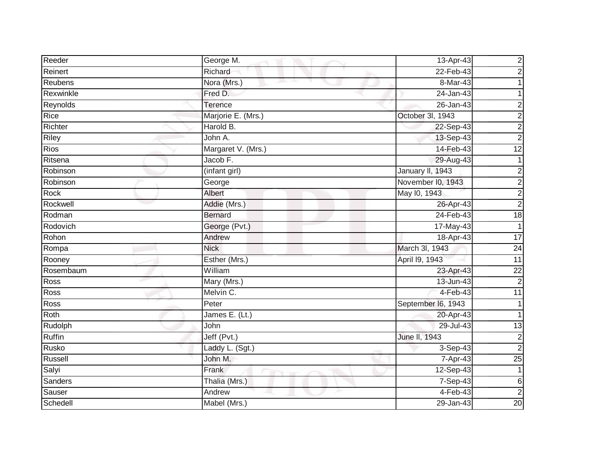| Reeder      | George M.          | 13-Apr-43          | $\overline{\mathbf{c}}$ |
|-------------|--------------------|--------------------|-------------------------|
| Reinert     | Richard            | 22-Feb-43          | $\overline{\mathbf{c}}$ |
| Reubens     | Nora (Mrs.)        | 8-Mar-43           |                         |
| Rexwinkle   | Fred D.            | 24-Jan-43          |                         |
| Reynolds    | Terence            | $26 - Jan-43$      | 2                       |
| Rice        | Marjorie E. (Mrs.) | October 3I, 1943   | 2                       |
| Richter     | Harold B.          | 22-Sep-43          | $\overline{c}$          |
| Riley       | John A.            | 13-Sep-43          | $\overline{c}$          |
| <b>Rios</b> | Margaret V. (Mrs.) | 14-Feb-43          | $\overline{12}$         |
| Ritsena     | Jacob F.           | 29-Aug-43          | 1                       |
| Robinson    | (infant girl)      | January II, 1943   | $\overline{\mathbf{c}}$ |
| Robinson    | George             | November I0, 1943  | $\overline{c}$          |
| Rock        | Albert             | May 10, 1943       | $\overline{2}$          |
| Rockwell    | Addie (Mrs.)       | 26-Apr-43          | $\overline{2}$          |
| Rodman      | <b>Bernard</b>     | 24-Feb-43          | 18                      |
| Rodovich    | George (Pvt.)      | 17-May-43          | 1                       |
| Rohon       | Andrew             | 18-Apr-43          | $\overline{17}$         |
| Rompa       | <b>Nick</b>        | March 3I, 1943     | 24                      |
| Rooney      | Esther (Mrs.)      | April 19, 1943     | $\overline{11}$         |
| Rosembaum   | William            | 23-Apr-43          | $\overline{22}$         |
| Ross        | Mary (Mrs.)        | 13-Jun-43          | 2                       |
| Ross        | Melvin C.          | 4-Feb-43           | $\overline{11}$         |
| Ross        | Peter              | September I6, 1943 |                         |
| Roth        | James E. (Lt.)     | 20-Apr-43          | 1                       |
| Rudolph     | John               | 29-Jul-43          | 13                      |
| Ruffin      | Jeff (Pvt.)        | June II, 1943      | $\overline{c}$          |
| Rusko       | Laddy L. (Sgt.)    | 3-Sep-43           | $\overline{2}$          |
| Russell     | John M.            | 7-Apr-43           | $\overline{25}$         |
| Salyi       | Frank              | 12-Sep-43          |                         |
| Sanders     | Thalia (Mrs.)      | 7-Sep-43           | $\,6$                   |
| Sauser      | Andrew             | $4-Feb-43$         | $\overline{2}$          |
| Schedell    | Mabel (Mrs.)       | 29-Jan-43          | 20                      |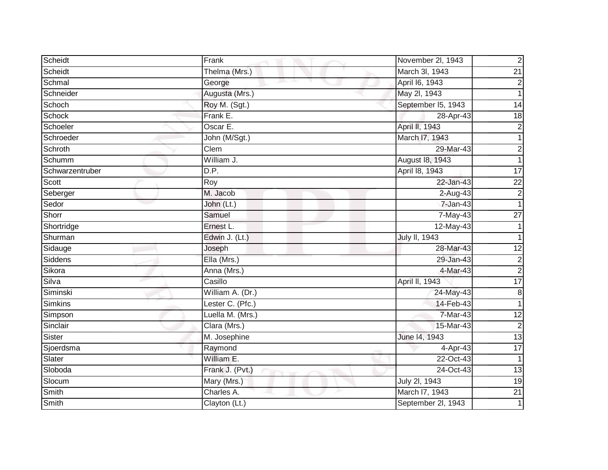| Scheidt         | Frank            | November 2l, 1943                     |
|-----------------|------------------|---------------------------------------|
| Scheidt         | Thelma (Mrs.)    | March 3I, 1943<br>$\overline{21}$     |
| Schmal          | George           | April 16, 1943                        |
| Schneider       | Augusta (Mrs.)   | May 2l, 1943                          |
| Schoch          | Roy M. (Sgt.)    | September I5, 1943<br>$\overline{14}$ |
| <b>Schock</b>   | Frank E.         | 28-Apr-43<br>18                       |
| Schoeler        | Oscar E.         | April II, 1943                        |
| Schroeder       | John (M/Sgt.)    | March 17, 1943                        |
| Schroth         | Clem             | 29-Mar-43                             |
| Schumm          | William J.       | August 18, 1943                       |
| Schwarzentruber | D.P.             | April 18, 1943<br>$\overline{17}$     |
| Scott           | Roy              | 22<br>22-Jan-43                       |
| Seberger        | M. Jacob         | 2-Aug-43                              |
| Sedor           | John (Lt.)       | 7-Jan-43                              |
| Shorr           | Samuel           | $7-May-43$<br>$\overline{27}$         |
| Shortridge      | Ernest L.        | 12-May-43                             |
| Shurman         | Edwin J. (Lt.)   | July II, 1943                         |
| Sidauge         | Joseph           | $\overline{12}$<br>28-Mar-43          |
| Siddens         | Ella (Mrs.)      | 29-Jan-43                             |
| Sikora          | Anna (Mrs.)      | 4-Mar-43                              |
| Silva           | Casillo          | 17<br>April II, 1943                  |
| Siminski        | William A. (Dr.) | 24-May-43                             |
| <b>Simkins</b>  | Lester C. (Pfc.) | 14-Feb-43                             |
| Simpson         | Luella M. (Mrs.) | $\overline{12}$<br>7-Mar-43           |
| Sinclair        | Clara (Mrs.)     | 15-Mar-43                             |
| Sister          | M. Josephine     | 13<br>June 14, 1943                   |
| Sjoerdsma       | Raymond          | $\overline{17}$<br>4-Apr-43           |
| Slater          | William E.       | 22-Oct-43                             |
| Sloboda         | Frank J. (Pvt.)  | 24-Oct-43<br>13                       |
| Slocum          | Mary (Mrs.)      | $\overline{19}$<br>July 2I, 1943      |
| Smith           | Charles A.       | $\overline{21}$<br>March I7, 1943     |
| <b>Smith</b>    | Clayton (Lt.)    | September 2I, 1943                    |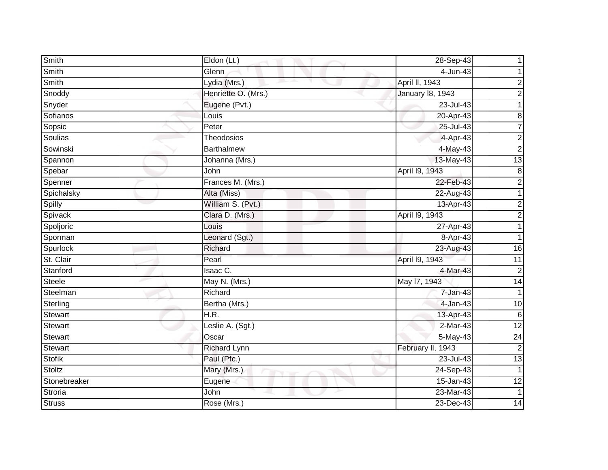| Smith          | Eldon (Lt.)         | 28-Sep-43         |                 |
|----------------|---------------------|-------------------|-----------------|
| Smith          | Glenn               | 4-Jun-43          |                 |
| Smith          | Lydia (Mrs.)        | April II, 1943    | 2               |
| Snoddy         | Henriette O. (Mrs.) | January 18, 1943  | $\overline{c}$  |
| Snyder         | Eugene (Pvt.)       | $23 -$ Jul-43     |                 |
| Sofianos       | Louis               | 20-Apr-43         | 8               |
| Sopsic         | Peter               | 25-Jul-43         | $\overline{7}$  |
| Soulias        | Theodosios          | 4-Apr-43          | $\overline{c}$  |
| Sowinski       | <b>Barthalmew</b>   | 4-May-43          | $\overline{c}$  |
| Spannon        | Johanna (Mrs.)      | 13-May-43         | $\overline{13}$ |
| Spebar         | John                | April 19, 1943    | 8               |
| Spenner        | Frances M. (Mrs.)   | 22-Feb-43         | $\overline{c}$  |
| Spichalsky     | Alta (Miss)         | 22-Aug-43         | 1               |
| Spilly         | William S. (Pvt.)   | 13-Apr-43         | 2               |
| Spivack        | Clara D. (Mrs.)     | April 19, 1943    | 2               |
| Spoljoric      | Louis               | 27-Apr-43         | 1               |
| Sporman        | Leonard (Sgt.)      | 8-Apr-43          |                 |
| Spurlock       | Richard             | 23-Aug-43         | 16              |
| St. Clair      | Pearl               | April 19, 1943    | 11              |
| Stanford       | Isaac C.            | 4-Mar-43          | $\overline{2}$  |
| <b>Steele</b>  | May N. (Mrs.)       | May 17, 1943      | 14              |
| Steelman       | Richard             | 7-Jan-43          | 1               |
| Sterling       | Bertha (Mrs.)       | $4-Jan-43$        | 10              |
| <b>Stewart</b> | H.R.                | 13-Apr-43         | $6\phantom{1}6$ |
| <b>Stewart</b> | Leslie A. (Sgt.)    | 2-Mar-43          | $\overline{12}$ |
| <b>Stewart</b> | Oscar               | 5-May-43          | 24              |
| <b>Stewart</b> | <b>Richard Lynn</b> | February II, 1943 | $\mathbf 2$     |
| <b>Stofik</b>  | Paul (Pfc.)         | 23-Jul-43         | $\overline{13}$ |
| Stoltz         | Mary (Mrs.)         | 24-Sep-43         | 1               |
| Stonebreaker   | Eugene              | 15-Jan-43         | 12              |
| Stroria        | John                | 23-Mar-43         | 1               |
| <b>Struss</b>  | Rose (Mrs.)         | 23-Dec-43         | $\overline{14}$ |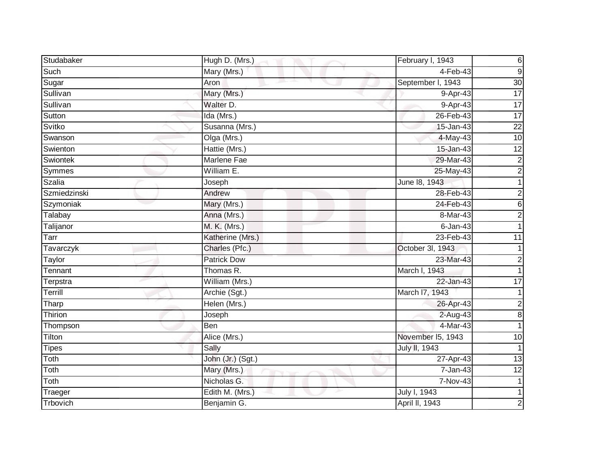| Studabaker    | Hugh D. (Mrs.)     | February I, 1943  | 6               |
|---------------|--------------------|-------------------|-----------------|
| Such          | Mary (Mrs.)        | $4-Feb-43$        | $9\,$           |
| Sugar         | Aron               | September I, 1943 | $\overline{30}$ |
| Sullivan      | Mary (Mrs.)        | 9-Apr-43          | $\overline{17}$ |
| Sullivan      | Walter D.          | 9-Apr-43          | 17              |
| Sutton        | Ida (Mrs.)         | 26-Feb-43         | 17              |
| Svitko        | Susanna (Mrs.)     | 15-Jan-43         | $\overline{22}$ |
| Swanson       | Olga (Mrs.)        | $4$ -May-43       | 10              |
| Swienton      | Hattie (Mrs.)      | 15-Jan-43         | 12              |
| Swiontek      | <b>Marlene Fae</b> | 29-Mar-43         | $\overline{2}$  |
| Symmes        | William E.         | 25-May-43         | $\overline{c}$  |
| <b>Szalia</b> | Joseph             | June 18, 1943     | 1               |
| Szmiedzinski  | Andrew             | 28-Feb-43         | $\overline{c}$  |
| Szymoniak     | Mary (Mrs.)        | 24-Feb-43         | 6               |
| Talabay       | Anna (Mrs.)        | 8-Mar-43          | $\overline{2}$  |
| Talijanor     | M. K. (Mrs.)       | $6$ -Jan-43       |                 |
| Tarr          | Katherine (Mrs.)   | $23$ -Feb-43      | 11              |
| Tavarczyk     | Charles (Pfc.)     | October 3I, 1943  |                 |
| Taylor        | <b>Patrick Dow</b> | 23-Mar-43         | $\overline{2}$  |
| Tennant       | Thomas R.          | March I, 1943     |                 |
| Terpstra      | William (Mrs.)     | 22-Jan-43         | 17              |
| Terrill       | Archie (Sgt.)      | March I7, 1943    |                 |
| Tharp         | Helen (Mrs.)       | 26-Apr-43         | 2               |
| Thirion       | Joseph             | $2-Auq-43$        | 8               |
| Thompson      | Ben                | 4-Mar-43          |                 |
| Tilton        | Alice (Mrs.)       | November I5, 1943 | 10              |
| <b>Tipes</b>  | Sally              | July II, 1943     |                 |
| Toth          | John (Jr.) (Sgt.)  | 27-Apr-43         | 13              |
| Toth          | Mary (Mrs.)        | 7-Jan-43          | $\overline{12}$ |
| Toth          | Nicholas G.        | 7-Nov-43          |                 |
| Traeger       | Edith M. (Mrs.)    | July I, 1943      |                 |
| Trbovich      | Benjamin G.        | April II, 1943    | 2               |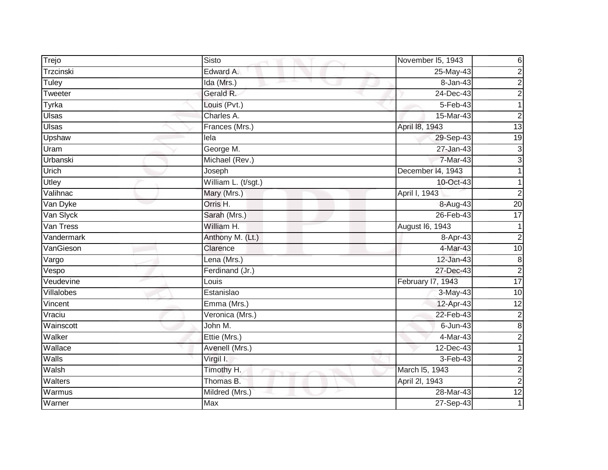| Trejo        | Sisto                            | November I5, 1943            |
|--------------|----------------------------------|------------------------------|
| Trzcinski    | Edward A.                        | 25-May-43                    |
| Tuley        | Ida (Mrs.)                       | 8-Jan-43                     |
| Tweeter      | Gerald R.                        | 24-Dec-43                    |
| Tyrka        | Louis (Pvt.)                     | $5 - Feb - 43$               |
| Ulsas        | Charles A.                       | 15-Mar-43                    |
| <b>U</b> sas | Frances (Mrs.)                   | 13<br>April 18, 1943         |
| Upshaw       | lela                             | 19<br>29-Sep-43              |
| Uram         | George M.                        | 27-Jan-43                    |
| Urbanski     | Michael (Rev.)                   | 7-Mar-43                     |
| Urich        | Joseph                           | December 14, 1943            |
| Utley        | William L. (t/sgt.)              | 10-Oct-43                    |
| Valihnac     | Mary (Mrs.)                      | April I, 1943                |
| Van Dyke     | Orris H.                         | $\overline{20}$<br>8-Aug-43  |
| Van Slyck    | Sarah (Mrs.)                     | 17<br>26-Feb-43              |
| Van Tress    | William H.                       | August 16, 1943              |
| Vandermark   | Anthony M. (Lt.)                 | 8-Apr-43                     |
| VanGieson    | Clarence                         | 4-Mar-43<br>10               |
| Vargo        | Lena (Mrs.)                      | 12-Jan-43                    |
| Vespo        | Ferdinand (Jr.)                  | 27-Dec-43                    |
| Veudevine    | Louis                            | 17<br>February I7, 1943      |
| Villalobes   | Estanislao                       | 10<br>3-May-43               |
| Vincent      | Emma (Mrs.)                      | 12-Apr-43<br>$\overline{12}$ |
| Vraciu       | Veronica (Mrs.)                  | 22-Feb-43                    |
| Wainscott    | John M.                          | $6$ -Jun-43                  |
| Walker       | Ettie (Mrs.)                     | 4-Mar-43                     |
| Wallace      | Avenell (Mrs.)                   | 12-Dec-43                    |
| Walls        | Virgil I.                        | $3-Feb-43$                   |
| Walsh        | Timothy H.<br><b>START START</b> | March I5, 1943               |
| Walters      | Thomas B.                        | April 2I, 1943               |
| Warmus       | Mildred (Mrs.)                   | $\overline{12}$<br>28-Mar-43 |
| Warner       | <b>Max</b>                       | 27-Sep-43                    |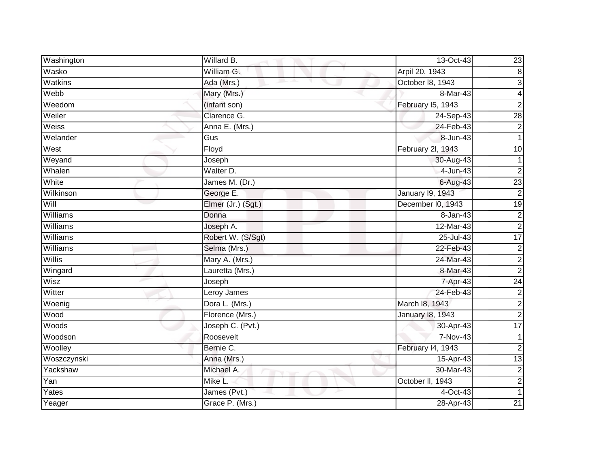| Washington     | Willard B.                     | 13-Oct-43         | $\overline{23}$         |
|----------------|--------------------------------|-------------------|-------------------------|
| Wasko          | $\overline{\text{William}}$ G. | Arpil 20, 1943    | $\infty$                |
| <b>Watkins</b> | Ada (Mrs.)                     | October 18, 1943  | 3                       |
| Webb           | Mary (Mrs.)                    | 8-Mar-43          | $\overline{\mathbf{4}}$ |
| Weedom         | (infant son)                   | February I5, 1943 | $\overline{\mathbf{c}}$ |
| Weiler         | Clarence G.                    | 24-Sep-43         | $\overline{28}$         |
| Weiss          | Anna E. (Mrs.)                 | 24-Feb-43         | $\overline{2}$          |
| Welander       | Gus                            | 8-Jun-43          |                         |
| West           | Floyd                          | February 2l, 1943 | 10                      |
| Weyand         | Joseph                         | 30-Aug-43         |                         |
| Whalen         | Walter D.                      | 4-Jun-43          | $\overline{\mathbf{c}}$ |
| White          | James M. (Dr.)                 | $6-Aug-43$        | $\overline{23}$         |
| Wilkinson      | George E.                      | January 19, 1943  | $\overline{2}$          |
| Will           | Elmer (Jr.) (Sgt.)             | December I0, 1943 | 19                      |
| Williams       | Donna                          | 8-Jan-43          | $\boldsymbol{2}$        |
| Williams       | Joseph A.                      | 12-Mar-43         | $\overline{2}$          |
| Williams       | Robert W. (S/Sgt)              | $25 -$ Jul-43     | 17                      |
| Williams       | Selma (Mrs.)                   | 22-Feb-43         | $\boldsymbol{2}$        |
| <b>Willis</b>  | Mary A. (Mrs.)                 | 24-Mar-43         | $\overline{2}$          |
| Wingard        | Lauretta (Mrs.)                | 8-Mar-43          | $\overline{2}$          |
| Wisz           | Joseph                         | 7-Apr-43          | $\overline{24}$         |
| Witter         | Leroy James                    | 24-Feb-43         | $\overline{2}$          |
| Woenig         | Dora L. (Mrs.)                 | March 18, 1943    | $\overline{2}$          |
| Wood           | Florence (Mrs.)                | January 18, 1943  | $\overline{2}$          |
| Woods          | Joseph C. (Pvt.)               | 30-Apr-43         | 17                      |
| Woodson        | Roosevelt                      | $7-Nov-43$        |                         |
| Woolley        | Bernie C.                      | February 14, 1943 | $\overline{2}$          |
| Woszczynski    | Anna (Mrs.)                    | 15-Apr-43         | 13                      |
| Yackshaw       | Michael A.                     | $30-Mar-43$       | $\mathbf 2$             |
| Yan            | Mike L.                        | October II, 1943  | $\overline{c}$          |
| Yates          | James (Pvt.)                   | 4-Oct-43          |                         |
| Yeager         | Grace P. (Mrs.)                | 28-Apr-43         | 21                      |